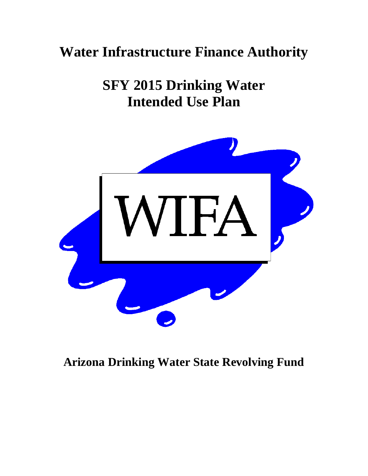# **Water Infrastructure Finance Authority**

**SFY 2015 Drinking Water Intended Use Plan** 



# **Arizona Drinking Water State Revolving Fund**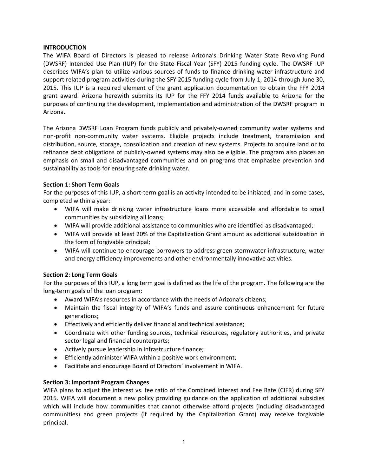## **INTRODUCTION**

The WIFA Board of Directors is pleased to release Arizona's Drinking Water State Revolving Fund (DWSRF) Intended Use Plan (IUP) for the State Fiscal Year (SFY) 2015 funding cycle. The DWSRF IUP describes WIFA's plan to utilize various sources of funds to finance drinking water infrastructure and support related program activities during the SFY 2015 funding cycle from July 1, 2014 through June 30, 2015. This IUP is a required element of the grant application documentation to obtain the FFY 2014 grant award. Arizona herewith submits its IUP for the FFY 2014 funds available to Arizona for the purposes of continuing the development, implementation and administration of the DWSRF program in Arizona.

The Arizona DWSRF Loan Program funds publicly and privately‐owned community water systems and non‐profit non‐community water systems. Eligible projects include treatment, transmission and distribution, source, storage, consolidation and creation of new systems. Projects to acquire land or to refinance debt obligations of publicly-owned systems may also be eligible. The program also places an emphasis on small and disadvantaged communities and on programs that emphasize prevention and sustainability as tools for ensuring safe drinking water.

## **Section 1: Short Term Goals**

For the purposes of this IUP, a short-term goal is an activity intended to be initiated, and in some cases, completed within a year:

- WIFA will make drinking water infrastructure loans more accessible and affordable to small communities by subsidizing all loans;
- WIFA will provide additional assistance to communities who are identified as disadvantaged;
- WIFA will provide at least 20% of the Capitalization Grant amount as additional subsidization in the form of forgivable principal;
- WIFA will continue to encourage borrowers to address green stormwater infrastructure, water and energy efficiency improvements and other environmentally innovative activities.

## **Section 2: Long Term Goals**

For the purposes of this IUP, a long term goal is defined as the life of the program. The following are the long‐term goals of the loan program:

- Award WIFA's resources in accordance with the needs of Arizona's citizens;
- Maintain the fiscal integrity of WIFA's funds and assure continuous enhancement for future generations;
- Effectively and efficiently deliver financial and technical assistance;
- Coordinate with other funding sources, technical resources, regulatory authorities, and private sector legal and financial counterparts;
- Actively pursue leadership in infrastructure finance;
- Efficiently administer WIFA within a positive work environment;
- Facilitate and encourage Board of Directors' involvement in WIFA.

## **Section 3: Important Program Changes**

WIFA plans to adjust the interest vs. fee ratio of the Combined Interest and Fee Rate (CIFR) during SFY 2015. WIFA will document a new policy providing guidance on the application of additional subsidies which will include how communities that cannot otherwise afford projects (including disadvantaged communities) and green projects (if required by the Capitalization Grant) may receive forgivable principal.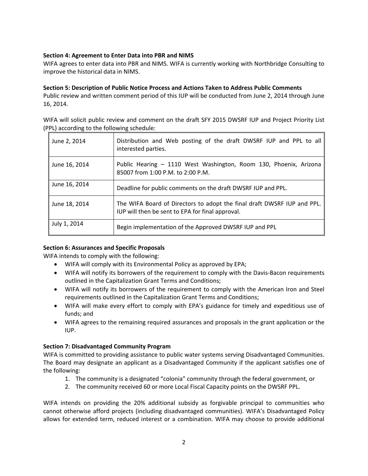# **Section 4: Agreement to Enter Data into PBR and NIMS**

WIFA agrees to enter data into PBR and NIMS. WIFA is currently working with Northbridge Consulting to improve the historical data in NIMS.

# **Section 5: Description of Public Notice Process and Actions Taken to Address Public Comments**

Public review and written comment period of this IUP will be conducted from June 2, 2014 through June 16, 2014.

WIFA will solicit public review and comment on the draft SFY 2015 DWSRF IUP and Project Priority List (PPL) according to the following schedule:

| June 2, 2014  | Distribution and Web posting of the draft DWSRF IUP and PPL to all<br>interested parties.                                   |
|---------------|-----------------------------------------------------------------------------------------------------------------------------|
| June 16, 2014 | Public Hearing - 1110 West Washington, Room 130, Phoenix, Arizona<br>85007 from 1:00 P.M. to 2:00 P.M.                      |
| June 16, 2014 | Deadline for public comments on the draft DWSRF IUP and PPL.                                                                |
| June 18, 2014 | The WIFA Board of Directors to adopt the final draft DWSRF IUP and PPL.<br>IUP will then be sent to EPA for final approval. |
| July 1, 2014  | Begin implementation of the Approved DWSRF IUP and PPL                                                                      |

# **Section 6: Assurances and Specific Proposals**

WIFA intends to comply with the following:

- WIFA will comply with its Environmental Policy as approved by EPA;
- WIFA will notify its borrowers of the requirement to comply with the Davis-Bacon requirements outlined in the Capitalization Grant Terms and Conditions;
- WIFA will notify its borrowers of the requirement to comply with the American Iron and Steel requirements outlined in the Capitalization Grant Terms and Conditions;
- WIFA will make every effort to comply with EPA's guidance for timely and expeditious use of funds; and
- WIFA agrees to the remaining required assurances and proposals in the grant application or the IUP.

## **Section 7: Disadvantaged Community Program**

WIFA is committed to providing assistance to public water systems serving Disadvantaged Communities. The Board may designate an applicant as a Disadvantaged Community if the applicant satisfies one of the following:

- 1. The community is a designated "colonia" community through the federal government, or
- 2. The community received 60 or more Local Fiscal Capacity points on the DWSRF PPL.

WIFA intends on providing the 20% additional subsidy as forgivable principal to communities who cannot otherwise afford projects (including disadvantaged communities). WIFA's Disadvantaged Policy allows for extended term, reduced interest or a combination. WIFA may choose to provide additional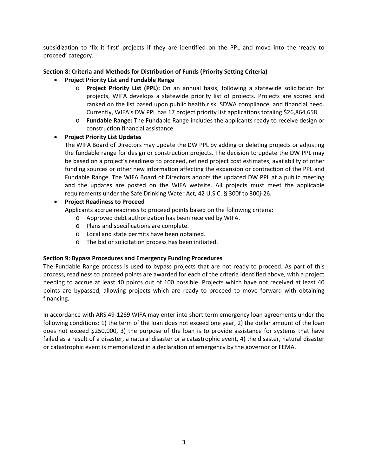subsidization to 'fix it first' projects if they are identified on the PPL and move into the 'ready to proceed' category.

# **Section 8: Criteria and Methods for Distribution of Funds (Priority Setting Criteria)**

- **Project Priority List and Fundable Range**
	- o **Project Priority List (PPL):** On an annual basis, following a statewide solicitation for projects, WIFA develops a statewide priority list of projects. Projects are scored and ranked on the list based upon public health risk, SDWA compliance, and financial need. Currently, WIFA's DW PPL has 17 project priority list applications totaling \$26,864,658.
	- o **Fundable Range:** The Fundable Range includes the applicants ready to receive design or construction financial assistance.

# **Project Priority List Updates**

The WIFA Board of Directors may update the DW PPL by adding or deleting projects or adjusting the fundable range for design or construction projects. The decision to update the DW PPL may be based on a project's readiness to proceed, refined project cost estimates, availability of other funding sources or other new information affecting the expansion or contraction of the PPL and Fundable Range. The WIFA Board of Directors adopts the updated DW PPL at a public meeting and the updates are posted on the WIFA website. All projects must meet the applicable requirements under the Safe Drinking Water Act, 42 U.S.C. § 300f to 300j‐26.

# **Project Readiness to Proceed**

Applicants accrue readiness to proceed points based on the following criteria:

- o Approved debt authorization has been received by WIFA.
- o Plans and specifications are complete.
- o Local and state permits have been obtained.
- o The bid or solicitation process has been initiated.

## **Section 9: Bypass Procedures and Emergency Funding Procedures**

The Fundable Range process is used to bypass projects that are not ready to proceed. As part of this process, readiness to proceed points are awarded for each of the criteria identified above, with a project needing to accrue at least 40 points out of 100 possible. Projects which have not received at least 40 points are bypassed, allowing projects which are ready to proceed to move forward with obtaining financing.

In accordance with ARS 49‐1269 WIFA may enter into short term emergency loan agreements under the following conditions: 1) the term of the loan does not exceed one year, 2) the dollar amount of the loan does not exceed \$250,000, 3) the purpose of the loan is to provide assistance for systems that have failed as a result of a disaster, a natural disaster or a catastrophic event, 4) the disaster, natural disaster or catastrophic event is memorialized in a declaration of emergency by the governor or FEMA.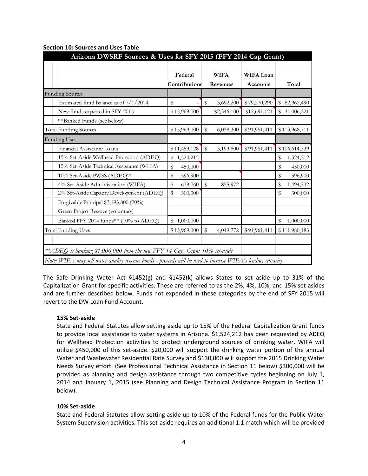|                                                                            | Federal         | <b>WIFA</b>     | WIFA Loan       |                 |
|----------------------------------------------------------------------------|-----------------|-----------------|-----------------|-----------------|
|                                                                            | Contributions   | Revenues        | <b>Accounts</b> | Total           |
| Funding Sources                                                            |                 |                 |                 |                 |
| Estimated fund balance as of $7/1/2014$                                    | \$              | \$<br>3,692,200 | \$79,270,290    | \$82,962,490    |
| New funds expected in SFY 2015                                             | \$15,969,000    | \$2,346,100     | \$12,691,121    | \$31,006,221    |
| **Banked Funds (see below)                                                 |                 |                 |                 |                 |
| <b>Total Funding Sources</b>                                               | \$15,969,000    | \$<br>6,038,300 | \$91,961,411    | \$113,968,711   |
| <b>Funding Uses</b>                                                        |                 |                 |                 |                 |
| Financial Assistance Loans                                                 | \$11,459,128    | \$<br>3,193,800 | \$91,961,411    | \$106,614,339   |
| 15% Set-Aside Wellhead Protection (ADEQ)                                   | 1,524,212<br>\$ |                 |                 | \$<br>1,524,212 |
| 15% Set-Aside Technical Assistance (WIFA)                                  | \$<br>450,000   |                 |                 | \$<br>450,000   |
| 10% Set-Aside PWSS (ADEQ)*                                                 | \$<br>596,900   |                 |                 | \$<br>596,900   |
| 4% Set-Aside Administration (WIFA)                                         | \$<br>638,760   | \$<br>855,972   |                 | \$<br>1,494,732 |
| 2% Set-Aside Capacity Development (ADEQ)                                   | \$<br>300,000   |                 |                 | \$<br>300,000   |
| Forgivable Principal \$3,193,800 (20%)                                     |                 |                 |                 |                 |
| Green Project Reserve (voluntary)                                          |                 |                 |                 |                 |
| Banked FFY 2014 funds** (10% to ADEQ)                                      | 1,000,000<br>\$ |                 |                 | 1,000,000<br>\$ |
| <b>Total Funding Uses</b>                                                  | \$15,969,000    | \$<br>4,049,772 | \$91,961,411    | \$111,980,183   |
|                                                                            |                 |                 |                 |                 |
| **ADEQ is banking \$1,000,000 from the new FFY 14 Cap. Grant 10% set-aside |                 |                 |                 |                 |

#### **Section 10: Sources and Uses Table**

The Safe Drinking Water Act §1452(g) and §1452(k) allows States to set aside up to 31% of the Capitalization Grant for specific activities. These are referred to as the 2%, 4%, 10%, and 15% set‐asides and are further described below. Funds not expended in these categories by the end of SFY 2015 will revert to the DW Loan Fund Account.

## **15% Set‐aside**

State and Federal Statutes allow setting aside up to 15% of the Federal Capitalization Grant funds to provide local assistance to water systems in Arizona. \$1,524,212 has been requested by ADEQ for Wellhead Protection activities to protect underground sources of drinking water. WIFA will utilize \$450,000 of this set-aside. \$20,000 will support the drinking water portion of the annual Water and Wastewater Residential Rate Survey and \$130,000 will support the 2015 Drinking Water Needs Survey effort. (See Professional Technical Assistance in Section 11 below) \$300,000 will be provided as planning and design assistance through two competitive cycles beginning on July 1, 2014 and January 1, 2015 (see Planning and Design Technical Assistance Program in Section 11 below).

# **10% Set‐aside**

State and Federal Statutes allow setting aside up to 10% of the Federal funds for the Public Water System Supervision activities. This set‐aside requires an additional 1:1 match which will be provided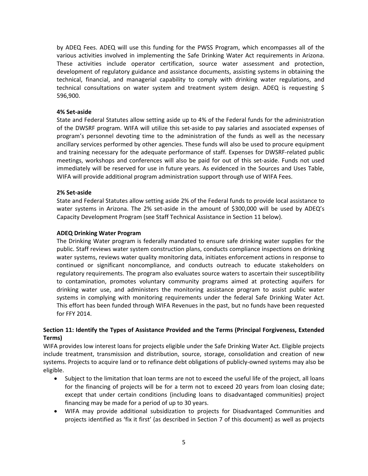by ADEQ Fees. ADEQ will use this funding for the PWSS Program, which encompasses all of the various activities involved in implementing the Safe Drinking Water Act requirements in Arizona. These activities include operator certification, source water assessment and protection, development of regulatory guidance and assistance documents, assisting systems in obtaining the technical, financial, and managerial capability to comply with drinking water regulations, and technical consultations on water system and treatment system design. ADEQ is requesting \$ 596,900.

#### **4% Set‐aside**

State and Federal Statutes allow setting aside up to 4% of the Federal funds for the administration of the DWSRF program. WIFA will utilize this set‐aside to pay salaries and associated expenses of program's personnel devoting time to the administration of the funds as well as the necessary ancillary services performed by other agencies. These funds will also be used to procure equipment and training necessary for the adequate performance of staff. Expenses for DWSRF‐related public meetings, workshops and conferences will also be paid for out of this set‐aside. Funds not used immediately will be reserved for use in future years. As evidenced in the Sources and Uses Table, WIFA will provide additional program administration support through use of WIFA Fees.

#### **2% Set‐aside**

State and Federal Statutes allow setting aside 2% of the Federal funds to provide local assistance to water systems in Arizona. The 2% set-aside in the amount of \$300,000 will be used by ADEQ's Capacity Development Program (see Staff Technical Assistance in Section 11 below).

#### **ADEQ Drinking Water Program**

The Drinking Water program is federally mandated to ensure safe drinking water supplies for the public. Staff reviews water system construction plans, conducts compliance inspections on drinking water systems, reviews water quality monitoring data, initiates enforcement actions in response to continued or significant noncompliance, and conducts outreach to educate stakeholders on regulatory requirements. The program also evaluates source waters to ascertain their susceptibility to contamination, promotes voluntary community programs aimed at protecting aquifers for drinking water use, and administers the monitoring assistance program to assist public water systems in complying with monitoring requirements under the federal Safe Drinking Water Act. This effort has been funded through WIFA Revenues in the past, but no funds have been requested for FFY 2014.

## **Section 11: Identify the Types of Assistance Provided and the Terms (Principal Forgiveness, Extended Terms)**

WIFA provides low interest loans for projects eligible under the Safe Drinking Water Act. Eligible projects include treatment, transmission and distribution, source, storage, consolidation and creation of new systems. Projects to acquire land or to refinance debt obligations of publicly-owned systems may also be eligible.

- Subject to the limitation that loan terms are not to exceed the useful life of the project, all loans for the financing of projects will be for a term not to exceed 20 years from loan closing date; except that under certain conditions (including loans to disadvantaged communities) project financing may be made for a period of up to 30 years.
- WIFA may provide additional subsidization to projects for Disadvantaged Communities and projects identified as 'fix it first' (as described in Section 7 of this document) as well as projects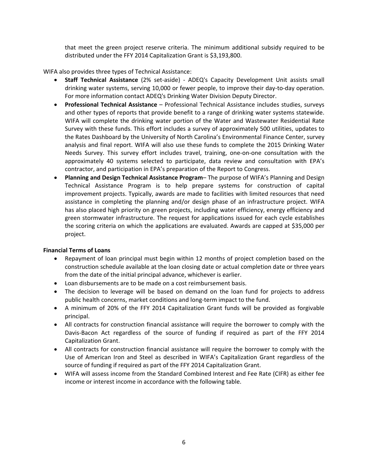that meet the green project reserve criteria. The minimum additional subsidy required to be distributed under the FFY 2014 Capitalization Grant is \$3,193,800.

WIFA also provides three types of Technical Assistance:

- **Staff Technical Assistance** (2% set‐aside) *‐*  ADEQ's Capacity Development Unit assists small drinking water systems, serving 10,000 or fewer people, to improve their day-to-day operation. For more information contact ADEQ's Drinking Water Division Deputy Director.
- **Professional Technical Assistance** Professional Technical Assistance includes studies, surveys and other types of reports that provide benefit to a range of drinking water systems statewide. WIFA will complete the drinking water portion of the Water and Wastewater Residential Rate Survey with these funds. This effort includes a survey of approximately 500 utilities, updates to the Rates Dashboard by the University of North Carolina's Environmental Finance Center, survey analysis and final report. WIFA will also use these funds to complete the 2015 Drinking Water Needs Survey. This survey effort includes travel, training, one‐on‐one consultation with the approximately 40 systems selected to participate, data review and consultation with EPA's contractor, and participation in EPA's preparation of the Report to Congress.
- **Planning and Design Technical Assistance Program** The purpose of WIFA's Planning and Design Technical Assistance Program is to help prepare systems for construction of capital improvement projects. Typically, awards are made to facilities with limited resources that need assistance in completing the planning and/or design phase of an infrastructure project. WIFA has also placed high priority on green projects, including water efficiency, energy efficiency and green stormwater infrastructure. The request for applications issued for each cycle establishes the scoring criteria on which the applications are evaluated. Awards are capped at \$35,000 per project.

## **Financial Terms of Loans**

- Repayment of loan principal must begin within 12 months of project completion based on the construction schedule available at the loan closing date or actual completion date or three years from the date of the initial principal advance, whichever is earlier.
- Loan disbursements are to be made on a cost reimbursement basis.
- The decision to leverage will be based on demand on the loan fund for projects to address public health concerns, market conditions and long‐term impact to the fund.
- A minimum of 20% of the FFY 2014 Capitalization Grant funds will be provided as forgivable principal.
- All contracts for construction financial assistance will require the borrower to comply with the Davis‐Bacon Act regardless of the source of funding if required as part of the FFY 2014 Capitalization Grant.
- All contracts for construction financial assistance will require the borrower to comply with the Use of American Iron and Steel as described in WIFA's Capitalization Grant regardless of the source of funding if required as part of the FFY 2014 Capitalization Grant.
- WIFA will assess income from the Standard Combined Interest and Fee Rate (CIFR) as either fee income or interest income in accordance with the following table.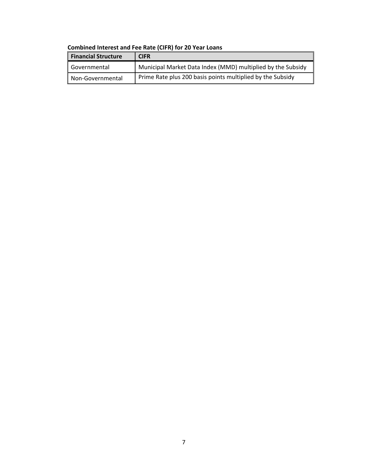| <b>Financial Structure</b> | <b>CIFR</b>                                                 |
|----------------------------|-------------------------------------------------------------|
| Governmental               | Municipal Market Data Index (MMD) multiplied by the Subsidy |
| Non-Governmental           | Prime Rate plus 200 basis points multiplied by the Subsidy  |

# **Combined Interest and Fee Rate (CIFR) for 20 Year Loans**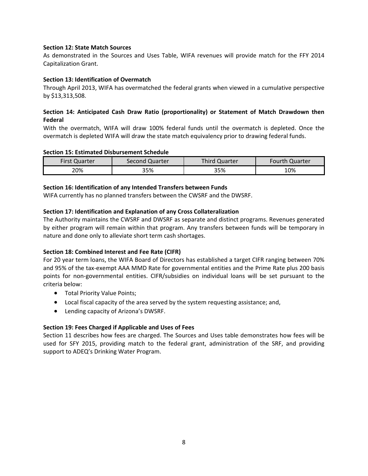#### **Section 12: State Match Sources**

As demonstrated in the Sources and Uses Table, WIFA revenues will provide match for the FFY 2014 Capitalization Grant.

#### **Section 13: Identification of Overmatch**

Through April 2013, WIFA has overmatched the federal grants when viewed in a cumulative perspective by \$13,313,508.

# **Section 14: Anticipated Cash Draw Ratio (proportionality) or Statement of Match Drawdown then Federal**

With the overmatch, WIFA will draw 100% federal funds until the overmatch is depleted. Once the overmatch is depleted WIFA will draw the state match equivalency prior to drawing federal funds.

#### **Section 15: Estimated Disbursement Schedule**

| <b>First Quarter</b> | Second Quarter | <b>Third Quarter</b> | <b>Fourth Quarter</b> |
|----------------------|----------------|----------------------|-----------------------|
| 20%                  | 35%            | 35%                  | 10%                   |

#### **Section 16: Identification of any Intended Transfers between Funds**

WIFA currently has no planned transfers between the CWSRF and the DWSRF.

#### **Section 17: Identification and Explanation of any Cross Collateralization**

The Authority maintains the CWSRF and DWSRF as separate and distinct programs. Revenues generated by either program will remain within that program. Any transfers between funds will be temporary in nature and done only to alleviate short term cash shortages.

## **Section 18: Combined Interest and Fee Rate (CIFR)**

For 20 year term loans, the WIFA Board of Directors has established a target CIFR ranging between 70% and 95% of the tax‐exempt AAA MMD Rate for governmental entities and the Prime Rate plus 200 basis points for non‐governmental entities. CIFR/subsidies on individual loans will be set pursuant to the criteria below:

- **•** Total Priority Value Points;
- Local fiscal capacity of the area served by the system requesting assistance; and,
- Lending capacity of Arizona's DWSRF.

## **Section 19: Fees Charged if Applicable and Uses of Fees**

Section 11 describes how fees are charged. The Sources and Uses table demonstrates how fees will be used for SFY 2015, providing match to the federal grant, administration of the SRF, and providing support to ADEQ's Drinking Water Program.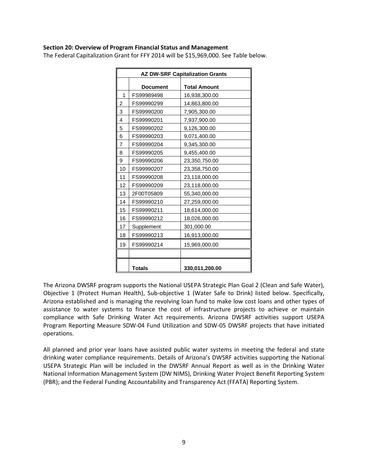#### **Section 20: Overview of Program Financial Status and Management**

The Federal Capitalization Grant for FFY 2014 will be \$15,969,000. See Table below.

|                | <b>AZ DW-SRF Capitalization Grants</b> |                     |  |  |  |  |  |  |
|----------------|----------------------------------------|---------------------|--|--|--|--|--|--|
|                | <b>Document</b>                        | <b>Total Amount</b> |  |  |  |  |  |  |
| 1              | FS99989498                             | 16,938,300.00       |  |  |  |  |  |  |
| 2              | FS99990299                             | 14,863,800.00       |  |  |  |  |  |  |
| 3              | FS99990200                             | 7,905,300.00        |  |  |  |  |  |  |
| 4              | FS99990201                             | 7,937,900.00        |  |  |  |  |  |  |
| 5              | FS99990202                             | 9,126,300.00        |  |  |  |  |  |  |
| 6              | FS99990203                             | 9,071,400.00        |  |  |  |  |  |  |
| $\overline{7}$ | FS99990204                             | 9,345,300.00        |  |  |  |  |  |  |
| 8              | FS99990205                             | 9,455,400.00        |  |  |  |  |  |  |
| 9              | FS99990206                             | 23,350,750.00       |  |  |  |  |  |  |
| 10             | FS99990207                             | 23,358,750.00       |  |  |  |  |  |  |
| 11             | FS99990208                             | 23,118,000.00       |  |  |  |  |  |  |
| 12             | FS99990209                             | 23,118,000.00       |  |  |  |  |  |  |
| 13             | 2F00T05809                             | 55,340,000.00       |  |  |  |  |  |  |
| 14             | FS99990210                             | 27,259,000.00       |  |  |  |  |  |  |
| 15             | FS99990211                             | 18,614,000.00       |  |  |  |  |  |  |
| 16             | FS99990212                             | 18,026,000.00       |  |  |  |  |  |  |
| 17             | Supplement                             | 301,000.00          |  |  |  |  |  |  |
| 18             | FS99990213                             | 16,913,000.00       |  |  |  |  |  |  |
| 19             | FS99990214                             | 15,969,000.00       |  |  |  |  |  |  |
|                |                                        |                     |  |  |  |  |  |  |
|                | <b>Totals</b>                          | 330,011,200.00      |  |  |  |  |  |  |

The Arizona DWSRF program supports the National USEPA Strategic Plan Goal 2 (Clean and Safe Water), Objective 1 (Protect Human Health), Sub‐objective 1 (Water Safe to Drink) listed below. Specifically, Arizona established and is managing the revolving loan fund to make low cost loans and other types of assistance to water systems to finance the cost of infrastructure projects to achieve or maintain compliance with Safe Drinking Water Act requirements. Arizona DWSRF activities support USEPA Program Reporting Measure SDW‐04 Fund Utilization and SDW‐05 DWSRF projects that have initiated operations.

All planned and prior year loans have assisted public water systems in meeting the federal and state drinking water compliance requirements. Details of Arizona's DWSRF activities supporting the National USEPA Strategic Plan will be included in the DWSRF Annual Report as well as in the Drinking Water National Information Management System (DW NIMS), Drinking Water Project Benefit Reporting System (PBR); and the Federal Funding Accountability and Transparency Act (FFATA) Reporting System.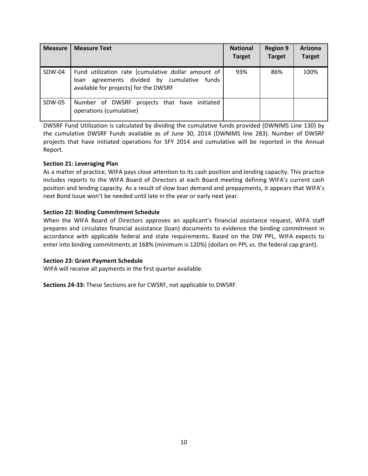| <b>Measure</b> | <b>Measure Text</b>                                                                                                                              | <b>National</b><br><b>Target</b> | <b>Region 9</b><br><b>Target</b> | Arizona<br><b>Target</b> |
|----------------|--------------------------------------------------------------------------------------------------------------------------------------------------|----------------------------------|----------------------------------|--------------------------|
| SDW-04         | Fund utilization rate [cumulative dollar amount of<br>agreements divided by cumulative<br>funds<br>loan<br>available for projects] for the DWSRF | 93%                              | 86%                              | 100%                     |
| SDW-05         | Number of DWSRF projects that have initiated<br>operations (cumulative)                                                                          |                                  |                                  |                          |

DWSRF Fund Utilization is calculated by dividing the cumulative funds provided (DWNIMS Line 130) by the cumulative DWSRF Funds available as of June 30, 2014 (DWNIMS line 283). Number of DWSRF projects that have initiated operations for SFY 2014 and cumulative will be reported in the Annual Report.

## **Section 21: Leveraging Plan**

As a matter of practice, WIFA pays close attention to its cash position and lending capacity. This practice includes reports to the WIFA Board of Directors at each Board meeting defining WIFA's current cash position and lending capacity. As a result of slow loan demand and prepayments, it appears that WIFA's next Bond Issue won't be needed until late in the year or early next year.

# **Section 22: Binding Commitment Schedule**

When the WIFA Board of Directors approves an applicant's financial assistance request, WIFA staff prepares and circulates financial assistance (loan) documents to evidence the binding commitment in accordance with applicable federal and state requirements**.** Based on the DW PPL, WIFA expects to enter into binding commitments at 168% (minimum is 120%) (dollars on PPL vs. the federal cap grant).

## **Section 23: Grant Payment Schedule**

WIFA will receive all payments in the first quarter available.

**Sections 24‐33:** These Sections are for CWSRF, not applicable to DWSRF.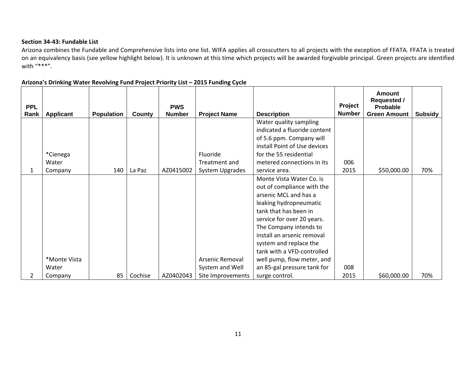#### **Section 34‐43: Fundable List**

Arizona combines the Fundable and Comprehensive lists into one list. WIFA applies all crosscutters to all projects with the exception of FFATA. FFATA is treated on an equivalency basis (see yellow highlight below). It is unknown at this time which projects will be awarded forgivable principal. Green projects are identified with "\*\*\*".

| <b>PPL</b> |                  |                   |         | <b>PWS</b>    |                     |                              | Project       | <b>Amount</b><br><b>Requested /</b><br>Probable |         |
|------------|------------------|-------------------|---------|---------------|---------------------|------------------------------|---------------|-------------------------------------------------|---------|
| Rank       | <b>Applicant</b> | <b>Population</b> | County  | <b>Number</b> | <b>Project Name</b> | <b>Description</b>           | <b>Number</b> | <b>Green Amount</b>                             | Subsidy |
|            |                  |                   |         |               |                     | Water quality sampling       |               |                                                 |         |
|            |                  |                   |         |               |                     | indicated a fluoride content |               |                                                 |         |
|            |                  |                   |         |               |                     | of 5.6 ppm. Company will     |               |                                                 |         |
|            |                  |                   |         |               |                     | install Point of Use devices |               |                                                 |         |
|            | *Cienega         |                   |         |               | Fluoride            | for the 55 residential       |               |                                                 |         |
|            | Water            |                   |         |               | Treatment and       | metered connections in its   | 006           |                                                 |         |
|            | Company          | 140               | La Paz  | AZ0415002     | System Upgrades     | service area.                | 2015          | \$50,000.00                                     | 70%     |
|            |                  |                   |         |               |                     | Monte Vista Water Co. is     |               |                                                 |         |
|            |                  |                   |         |               |                     | out of compliance with the   |               |                                                 |         |
|            |                  |                   |         |               |                     | arsenic MCL and has a        |               |                                                 |         |
|            |                  |                   |         |               |                     | leaking hydropneumatic       |               |                                                 |         |
|            |                  |                   |         |               |                     | tank that has been in        |               |                                                 |         |
|            |                  |                   |         |               |                     | service for over 20 years.   |               |                                                 |         |
|            |                  |                   |         |               |                     | The Company intends to       |               |                                                 |         |
|            |                  |                   |         |               |                     | install an arsenic removal   |               |                                                 |         |
|            |                  |                   |         |               |                     | system and replace the       |               |                                                 |         |
|            |                  |                   |         |               |                     | tank with a VFD-controlled   |               |                                                 |         |
|            | *Monte Vista     |                   |         |               | Arsenic Removal     | well pump, flow meter, and   |               |                                                 |         |
|            | Water            |                   |         |               | System and Well     | an 85-gal pressure tank for  | 008           |                                                 |         |
| 2          | Company          | 85                | Cochise | AZ0402043     | Site Improvements   | surge control.               | 2015          | \$60,000.00                                     | 70%     |

#### **Arizona's Drinking Water Revolving Fund Project Priority List – 2015 Funding Cycle**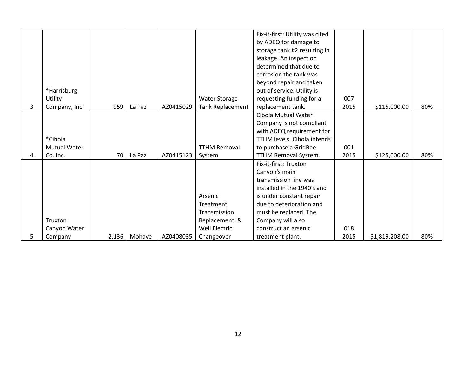|   |                     |       |        |           |                      | Fix-it-first: Utility was cited    |      |                |     |
|---|---------------------|-------|--------|-----------|----------------------|------------------------------------|------|----------------|-----|
|   |                     |       |        |           |                      | by ADEQ for damage to              |      |                |     |
|   |                     |       |        |           |                      | storage tank #2 resulting in       |      |                |     |
|   |                     |       |        |           |                      | leakage. An inspection             |      |                |     |
|   |                     |       |        |           |                      | determined that due to             |      |                |     |
|   |                     |       |        |           |                      | corrosion the tank was             |      |                |     |
|   |                     |       |        |           |                      | beyond repair and taken            |      |                |     |
|   | *Harrisburg         |       |        |           |                      | out of service. Utility is         |      |                |     |
|   | Utility             |       |        |           | <b>Water Storage</b> | requesting funding for a           | 007  |                |     |
| 3 | Company, Inc.       | 959   | La Paz | AZ0415029 | Tank Replacement     | replacement tank.                  | 2015 | \$115,000.00   | 80% |
|   |                     |       |        |           |                      | Cibola Mutual Water                |      |                |     |
|   |                     |       |        |           |                      | Company is not compliant           |      |                |     |
|   |                     |       |        |           |                      | with ADEQ requirement for          |      |                |     |
|   | *Cibola             |       |        |           |                      | <b>TTHM levels. Cibola intends</b> |      |                |     |
|   | <b>Mutual Water</b> |       |        |           | <b>TTHM Removal</b>  | to purchase a GridBee              | 001  |                |     |
| 4 | Co. Inc.            | 70    | La Paz | AZ0415123 | System               | TTHM Removal System.               | 2015 | \$125,000.00   | 80% |
|   |                     |       |        |           |                      | Fix-it-first: Truxton              |      |                |     |
|   |                     |       |        |           |                      | Canyon's main                      |      |                |     |
|   |                     |       |        |           |                      | transmission line was              |      |                |     |
|   |                     |       |        |           |                      | installed in the 1940's and        |      |                |     |
|   |                     |       |        |           | Arsenic              | is under constant repair           |      |                |     |
|   |                     |       |        |           | Treatment,           | due to deterioration and           |      |                |     |
|   |                     |       |        |           | Transmission         | must be replaced. The              |      |                |     |
|   | Truxton             |       |        |           | Replacement, &       | Company will also                  |      |                |     |
|   | Canyon Water        |       |        |           | <b>Well Electric</b> | construct an arsenic               | 018  |                |     |
| 5 | Company             | 2,136 | Mohave | AZ0408035 | Changeover           | treatment plant.                   | 2015 | \$1,819,208.00 | 80% |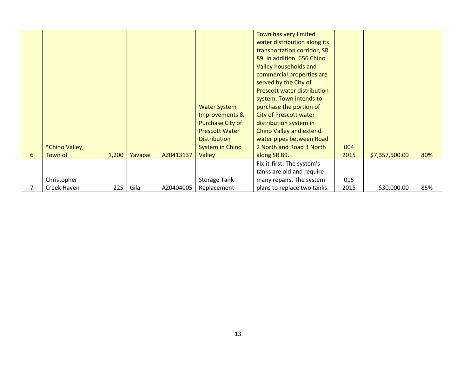|   | *Chino Valley, |       |         |           | <b>Water System</b><br>Improvements &<br>Purchase City of<br><b>Prescott Water</b><br><b>Distribution</b><br><b>System in Chino</b> | Town has very limited<br>water distribution along its<br>transportation corridor, SR<br>89. In addition, 656 Chino<br>Valley households and<br>commercial properties are<br>served by the City of<br><b>Prescott water distribution</b><br>system. Town intends to<br>purchase the portion of<br><b>City of Prescott water</b><br>distribution system in<br>Chino Valley and extend<br>water pipes between Road<br>2 North and Road 3 North | 004  |                |     |
|---|----------------|-------|---------|-----------|-------------------------------------------------------------------------------------------------------------------------------------|---------------------------------------------------------------------------------------------------------------------------------------------------------------------------------------------------------------------------------------------------------------------------------------------------------------------------------------------------------------------------------------------------------------------------------------------|------|----------------|-----|
| 6 | Town of        | 1,200 | Yavapai | AZ0413137 | Valley                                                                                                                              | along SR 89.                                                                                                                                                                                                                                                                                                                                                                                                                                | 2015 | \$7,357,500.00 | 80% |
|   | Christopher    |       |         |           | <b>Storage Tank</b>                                                                                                                 | Fix-it-first: The system's<br>tanks are old and require<br>many repairs. The system                                                                                                                                                                                                                                                                                                                                                         | 015  |                |     |
|   | Creek Haven    | 225   | Gila    | AZ0404005 | Replacement                                                                                                                         | plans to replace two tanks.                                                                                                                                                                                                                                                                                                                                                                                                                 | 2015 | \$30,000.00    | 85% |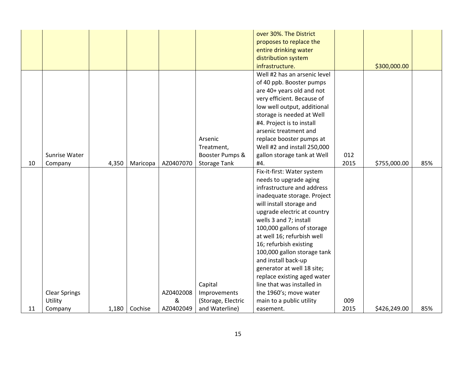|    |                      |       |          |           |                     | over 30%. The District       |      |              |     |
|----|----------------------|-------|----------|-----------|---------------------|------------------------------|------|--------------|-----|
|    |                      |       |          |           |                     | proposes to replace the      |      |              |     |
|    |                      |       |          |           |                     |                              |      |              |     |
|    |                      |       |          |           |                     | entire drinking water        |      |              |     |
|    |                      |       |          |           |                     | distribution system          |      |              |     |
|    |                      |       |          |           |                     | infrastructure.              |      | \$300,000.00 |     |
|    |                      |       |          |           |                     | Well #2 has an arsenic level |      |              |     |
|    |                      |       |          |           |                     | of 40 ppb. Booster pumps     |      |              |     |
|    |                      |       |          |           |                     | are 40+ years old and not    |      |              |     |
|    |                      |       |          |           |                     | very efficient. Because of   |      |              |     |
|    |                      |       |          |           |                     | low well output, additional  |      |              |     |
|    |                      |       |          |           |                     | storage is needed at Well    |      |              |     |
|    |                      |       |          |           |                     | #4. Project is to install    |      |              |     |
|    |                      |       |          |           |                     | arsenic treatment and        |      |              |     |
|    |                      |       |          |           | Arsenic             | replace booster pumps at     |      |              |     |
|    |                      |       |          |           | Treatment,          | Well #2 and install 250,000  |      |              |     |
|    | Sunrise Water        |       |          |           | Booster Pumps &     | gallon storage tank at Well  | 012  |              |     |
| 10 | Company              | 4,350 | Maricopa | AZ0407070 | <b>Storage Tank</b> | #4.                          | 2015 | \$755,000.00 | 85% |
|    |                      |       |          |           |                     | Fix-it-first: Water system   |      |              |     |
|    |                      |       |          |           |                     | needs to upgrade aging       |      |              |     |
|    |                      |       |          |           |                     | infrastructure and address   |      |              |     |
|    |                      |       |          |           |                     | inadequate storage. Project  |      |              |     |
|    |                      |       |          |           |                     | will install storage and     |      |              |     |
|    |                      |       |          |           |                     | upgrade electric at country  |      |              |     |
|    |                      |       |          |           |                     | wells 3 and 7; install       |      |              |     |
|    |                      |       |          |           |                     | 100,000 gallons of storage   |      |              |     |
|    |                      |       |          |           |                     | at well 16; refurbish well   |      |              |     |
|    |                      |       |          |           |                     | 16; refurbish existing       |      |              |     |
|    |                      |       |          |           |                     | 100,000 gallon storage tank  |      |              |     |
|    |                      |       |          |           |                     | and install back-up          |      |              |     |
|    |                      |       |          |           |                     | generator at well 18 site;   |      |              |     |
|    |                      |       |          |           |                     | replace existing aged water  |      |              |     |
|    |                      |       |          |           | Capital             | line that was installed in   |      |              |     |
|    | <b>Clear Springs</b> |       |          | AZ0402008 | Improvements        | the 1960's; move water       |      |              |     |
|    | Utility              |       |          | &         | (Storage, Electric  | main to a public utility     | 009  |              |     |
| 11 | Company              | 1,180 | Cochise  | AZ0402049 | and Waterline)      | easement.                    | 2015 | \$426,249.00 | 85% |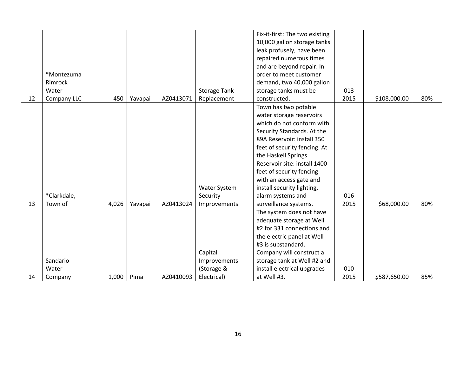|    |             |       |         |           |                     | Fix-it-first: The two existing |      |              |     |
|----|-------------|-------|---------|-----------|---------------------|--------------------------------|------|--------------|-----|
|    |             |       |         |           |                     | 10,000 gallon storage tanks    |      |              |     |
|    |             |       |         |           |                     | leak profusely, have been      |      |              |     |
|    |             |       |         |           |                     | repaired numerous times        |      |              |     |
|    |             |       |         |           |                     | and are beyond repair. In      |      |              |     |
|    | *Montezuma  |       |         |           |                     | order to meet customer         |      |              |     |
|    | Rimrock     |       |         |           |                     | demand, two 40,000 gallon      |      |              |     |
|    | Water       |       |         |           | <b>Storage Tank</b> | storage tanks must be          | 013  |              |     |
| 12 | Company LLC | 450   | Yavapai | AZ0413071 | Replacement         | constructed.                   | 2015 | \$108,000.00 | 80% |
|    |             |       |         |           |                     | Town has two potable           |      |              |     |
|    |             |       |         |           |                     | water storage reservoirs       |      |              |     |
|    |             |       |         |           |                     | which do not conform with      |      |              |     |
|    |             |       |         |           |                     | Security Standards. At the     |      |              |     |
|    |             |       |         |           |                     | 89A Reservoir: install 350     |      |              |     |
|    |             |       |         |           |                     | feet of security fencing. At   |      |              |     |
|    |             |       |         |           |                     | the Haskell Springs            |      |              |     |
|    |             |       |         |           |                     | Reservoir site: install 1400   |      |              |     |
|    |             |       |         |           |                     | feet of security fencing       |      |              |     |
|    |             |       |         |           |                     | with an access gate and        |      |              |     |
|    |             |       |         |           | Water System        | install security lighting,     |      |              |     |
|    | *Clarkdale, |       |         |           | Security            | alarm systems and              | 016  |              |     |
| 13 | Town of     | 4,026 | Yavapai | AZ0413024 | Improvements        | surveillance systems.          | 2015 | \$68,000.00  | 80% |
|    |             |       |         |           |                     | The system does not have       |      |              |     |
|    |             |       |         |           |                     | adequate storage at Well       |      |              |     |
|    |             |       |         |           |                     | #2 for 331 connections and     |      |              |     |
|    |             |       |         |           |                     | the electric panel at Well     |      |              |     |
|    |             |       |         |           |                     | #3 is substandard.             |      |              |     |
|    |             |       |         |           | Capital             | Company will construct a       |      |              |     |
|    | Sandario    |       |         |           | Improvements        | storage tank at Well #2 and    |      |              |     |
|    | Water       |       |         |           | (Storage &          | install electrical upgrades    | 010  |              |     |
| 14 | Company     | 1,000 | Pima    | AZ0410093 | Electrical)         | at Well #3.                    | 2015 | \$587,650.00 | 85% |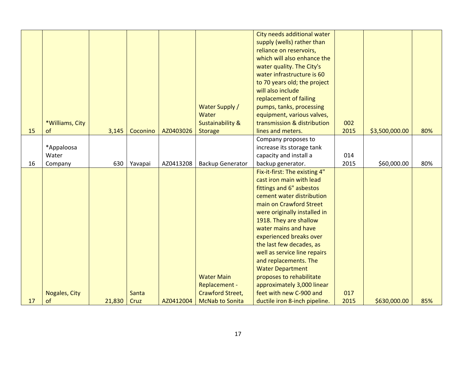|    |                 |        |          |           |                             | City needs additional water   |      |                |     |
|----|-----------------|--------|----------|-----------|-----------------------------|-------------------------------|------|----------------|-----|
|    |                 |        |          |           |                             | supply (wells) rather than    |      |                |     |
|    |                 |        |          |           |                             | reliance on reservoirs,       |      |                |     |
|    |                 |        |          |           |                             | which will also enhance the   |      |                |     |
|    |                 |        |          |           |                             | water quality. The City's     |      |                |     |
|    |                 |        |          |           |                             | water infrastructure is 60    |      |                |     |
|    |                 |        |          |           |                             | to 70 years old; the project  |      |                |     |
|    |                 |        |          |           |                             | will also include             |      |                |     |
|    |                 |        |          |           |                             | replacement of failing        |      |                |     |
|    |                 |        |          |           | <b>Water Supply /</b>       | pumps, tanks, processing      |      |                |     |
|    |                 |        |          |           | Water                       | equipment, various valves,    |      |                |     |
|    | *Williams, City |        |          |           | <b>Sustainability &amp;</b> | transmission & distribution   | 002  |                |     |
| 15 | of              | 3,145  | Coconino | AZ0403026 | <b>Storage</b>              | lines and meters.             | 2015 | \$3,500,000.00 | 80% |
|    |                 |        |          |           |                             | Company proposes to           |      |                |     |
|    | *Appaloosa      |        |          |           |                             | increase its storage tank     |      |                |     |
|    | Water           |        |          |           |                             | capacity and install a        | 014  |                |     |
| 16 | Company         | 630    | Yavapai  | AZ0413208 | <b>Backup Generator</b>     | backup generator.             | 2015 | \$60,000.00    | 80% |
|    |                 |        |          |           |                             | Fix-it-first: The existing 4" |      |                |     |
|    |                 |        |          |           |                             | cast iron main with lead      |      |                |     |
|    |                 |        |          |           |                             | fittings and 6" asbestos      |      |                |     |
|    |                 |        |          |           |                             | cement water distribution     |      |                |     |
|    |                 |        |          |           |                             | main on Crawford Street       |      |                |     |
|    |                 |        |          |           |                             | were originally installed in  |      |                |     |
|    |                 |        |          |           |                             | 1918. They are shallow        |      |                |     |
|    |                 |        |          |           |                             | water mains and have          |      |                |     |
|    |                 |        |          |           |                             | experienced breaks over       |      |                |     |
|    |                 |        |          |           |                             | the last few decades, as      |      |                |     |
|    |                 |        |          |           |                             | well as service line repairs  |      |                |     |
|    |                 |        |          |           |                             | and replacements. The         |      |                |     |
|    |                 |        |          |           |                             | <b>Water Department</b>       |      |                |     |
|    |                 |        |          |           | <b>Water Main</b>           | proposes to rehabilitate      |      |                |     |
|    |                 |        |          |           | Replacement -               | approximately 3,000 linear    |      |                |     |
|    | Nogales, City   |        | Santa    |           | Crawford Street,            | feet with new C-900 and       | 017  |                |     |
| 17 | of              | 21,830 | Cruz     | AZ0412004 | <b>McNab to Sonita</b>      | ductile iron 8-inch pipeline. | 2015 | \$630,000.00   | 85% |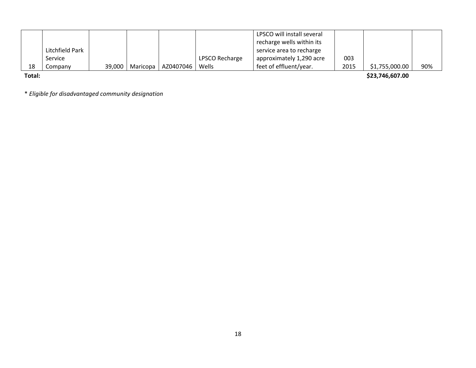|    |                 |                     |           |                | LPSCO will install several |      |                |     |
|----|-----------------|---------------------|-----------|----------------|----------------------------|------|----------------|-----|
|    |                 |                     |           |                | recharge wells within its  |      |                |     |
|    | Litchfield Park |                     |           |                | service area to recharge   |      |                |     |
|    | Service         |                     |           | LPSCO Recharge | approximately 1,290 acre   | 003  |                |     |
| 18 | Company         | $39,000$   Maricopa | AZ0407046 | Wells          | feet of effluent/year.     | 2015 | \$1,755,000.00 | 90% |

**Total:**

**\$23,746,607.00**

\* *Eligible for disadvantaged community designation*